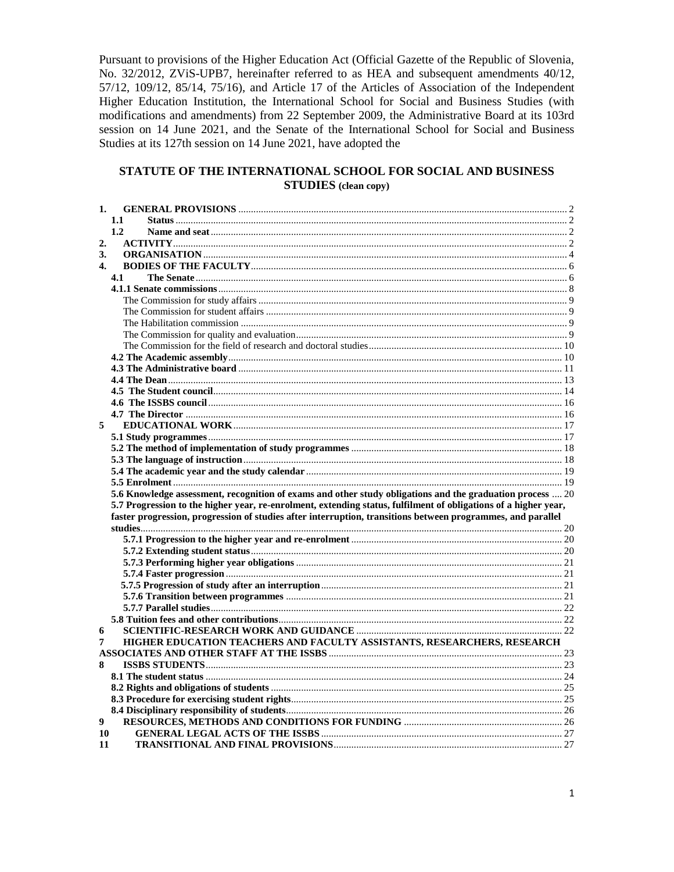Pursuant to provisions of the Higher Education Act (Official Gazette of the Republic of Slovenia, No. 32/2012, ZViS-UPB7, hereinafter referred to as HEA and subsequent amendments 40/12, 57/12, 109/12, 85/14, 75/16), and Article 17 of the Articles of Association of the Independent Higher Education Institution, the International School for Social and Business Studies (with modifications and amendments) from 22 September 2009, the Administrative Board at its 103rd session on 14 June 2021, and the Senate of the International School for Social and Business Studies at its 127th session on 14 June 2021, have adopted the

# STATUTE OF THE INTERNATIONAL SCHOOL FOR SOCIAL AND BUSINESS **STUDIES** (clean copy)

| 1.               |                                                                                                                 |  |
|------------------|-----------------------------------------------------------------------------------------------------------------|--|
|                  | 1.1                                                                                                             |  |
|                  | 1.2                                                                                                             |  |
| $\overline{2}$ . |                                                                                                                 |  |
| 3.               |                                                                                                                 |  |
| $\mathbf{4}$ .   |                                                                                                                 |  |
|                  | 4.1                                                                                                             |  |
|                  |                                                                                                                 |  |
|                  |                                                                                                                 |  |
|                  |                                                                                                                 |  |
|                  |                                                                                                                 |  |
|                  |                                                                                                                 |  |
|                  |                                                                                                                 |  |
|                  |                                                                                                                 |  |
|                  |                                                                                                                 |  |
|                  |                                                                                                                 |  |
|                  |                                                                                                                 |  |
|                  |                                                                                                                 |  |
|                  |                                                                                                                 |  |
| 5                |                                                                                                                 |  |
|                  |                                                                                                                 |  |
|                  |                                                                                                                 |  |
|                  |                                                                                                                 |  |
|                  |                                                                                                                 |  |
|                  |                                                                                                                 |  |
|                  | 5.6 Knowledge assessment, recognition of exams and other study obligations and the graduation process  20       |  |
|                  | 5.7 Progression to the higher year, re-enrolment, extending status, fulfilment of obligations of a higher year, |  |
|                  | faster progression, progression of studies after interruption, transitions between programmes, and parallel     |  |
|                  |                                                                                                                 |  |
|                  |                                                                                                                 |  |
|                  |                                                                                                                 |  |
|                  |                                                                                                                 |  |
|                  |                                                                                                                 |  |
|                  |                                                                                                                 |  |
|                  |                                                                                                                 |  |
|                  |                                                                                                                 |  |
|                  |                                                                                                                 |  |
| 6<br>7           | HIGHER EDUCATION TEACHERS AND FACULTY ASSISTANTS, RESEARCHERS, RESEARCH                                         |  |
|                  |                                                                                                                 |  |
| 8                |                                                                                                                 |  |
|                  |                                                                                                                 |  |
|                  |                                                                                                                 |  |
|                  |                                                                                                                 |  |
|                  |                                                                                                                 |  |
| 9                |                                                                                                                 |  |
| 10               |                                                                                                                 |  |
|                  |                                                                                                                 |  |
| 11               |                                                                                                                 |  |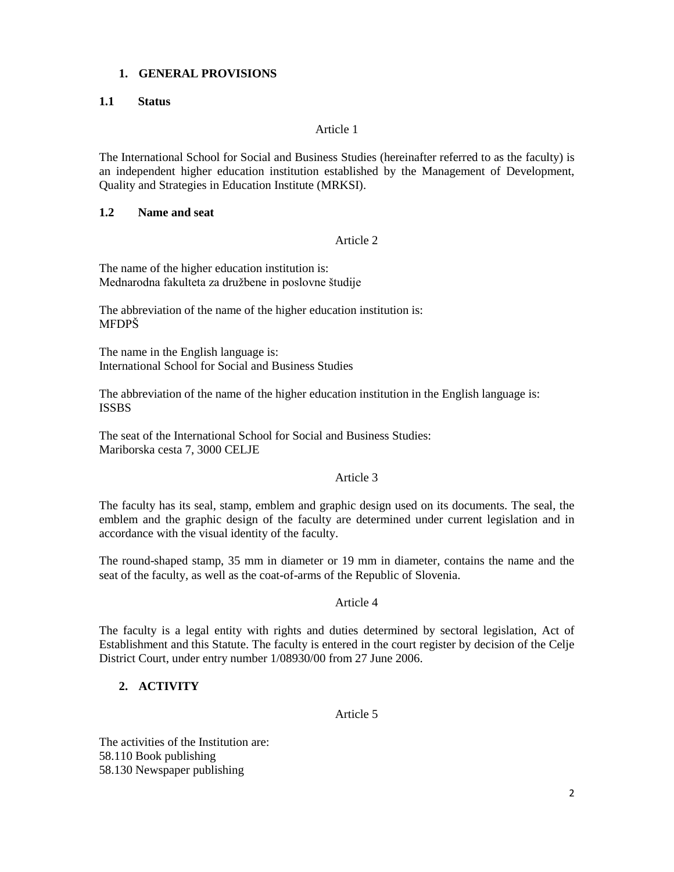# <span id="page-1-0"></span>**1. GENERAL PROVISIONS**

## <span id="page-1-1"></span>**1.1 Status**

## Article 1

The International School for Social and Business Studies (hereinafter referred to as the faculty) is an independent higher education institution established by the Management of Development, Quality and Strategies in Education Institute (MRKSI).

### <span id="page-1-2"></span>**1.2 Name and seat**

### Article 2

The name of the higher education institution is: Mednarodna fakulteta za družbene in poslovne študije

The abbreviation of the name of the higher education institution is: MFDPŠ

The name in the English language is: International School for Social and Business Studies

The abbreviation of the name of the higher education institution in the English language is: **ISSBS** 

The seat of the International School for Social and Business Studies: Mariborska cesta 7, 3000 CELJE

## Article 3

The faculty has its seal, stamp, emblem and graphic design used on its documents. The seal, the emblem and the graphic design of the faculty are determined under current legislation and in accordance with the visual identity of the faculty.

The round-shaped stamp, 35 mm in diameter or 19 mm in diameter, contains the name and the seat of the faculty, as well as the coat-of-arms of the Republic of Slovenia.

## Article 4

The faculty is a legal entity with rights and duties determined by sectoral legislation, Act of Establishment and this Statute. The faculty is entered in the court register by decision of the Celje District Court, under entry number 1/08930/00 from 27 June 2006.

# <span id="page-1-3"></span>**2. ACTIVITY**

# Article 5

The activities of the Institution are: 58.110 Book publishing 58.130 Newspaper publishing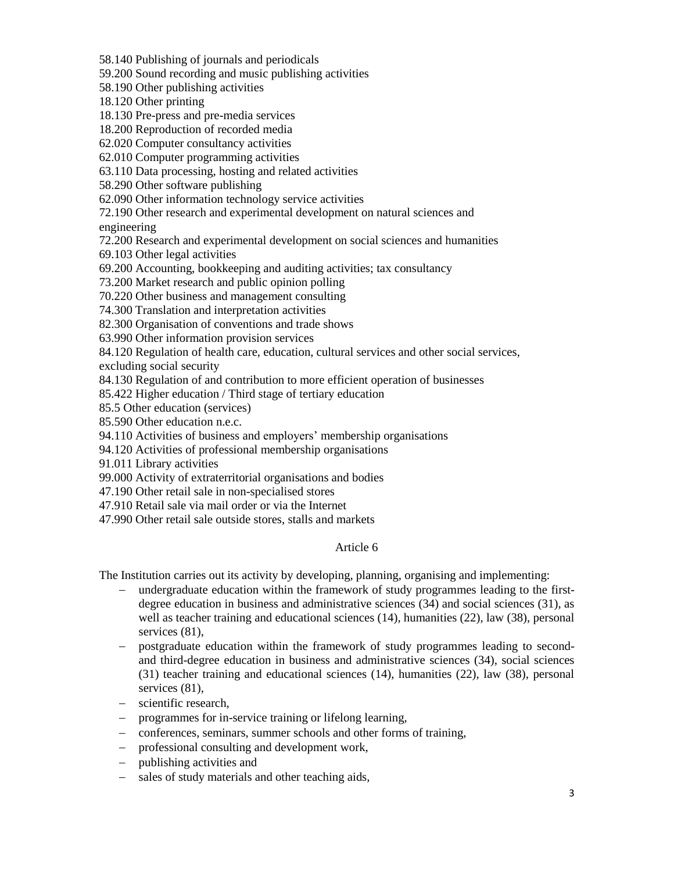58.140 Publishing of journals and periodicals

59.200 Sound recording and music publishing activities

58.190 Other publishing activities

18.120 Other printing

18.130 Pre-press and pre-media services

18.200 Reproduction of recorded media

62.020 Computer consultancy activities

62.010 Computer programming activities

63.110 Data processing, hosting and related activities

58.290 Other software publishing

62.090 Other information technology service activities

72.190 Other research and experimental development on natural sciences and

engineering

72.200 Research and experimental development on social sciences and humanities

69.103 Other legal activities

69.200 Accounting, bookkeeping and auditing activities; tax consultancy

73.200 Market research and public opinion polling

70.220 Other business and management consulting

74.300 Translation and interpretation activities

82.300 Organisation of conventions and trade shows

63.990 Other information provision services

84.120 Regulation of health care, education, cultural services and other social services,

excluding social security

84.130 Regulation of and contribution to more efficient operation of businesses

85.422 Higher education / Third stage of tertiary education

85.5 Other education (services)

85.590 Other education n.e.c.

94.110 Activities of business and employers' membership organisations

94.120 Activities of professional membership organisations

91.011 Library activities

99.000 Activity of extraterritorial organisations and bodies

47.190 Other retail sale in non-specialised stores

47.910 Retail sale via mail order or via the Internet

47.990 Other retail sale outside stores, stalls and markets

## Article 6

The Institution carries out its activity by developing, planning, organising and implementing:

- − undergraduate education within the framework of study programmes leading to the firstdegree education in business and administrative sciences (34) and social sciences (31), as well as teacher training and educational sciences (14), humanities (22), law (38), personal services  $(81)$ ,
- − postgraduate education within the framework of study programmes leading to secondand third-degree education in business and administrative sciences (34), social sciences (31) teacher training and educational sciences (14), humanities (22), law (38), personal services  $(81)$ ,
- − scientific research,
- − programmes for in-service training or lifelong learning,
- − conferences, seminars, summer schools and other forms of training,
- − professional consulting and development work,
- − publishing activities and
- − sales of study materials and other teaching aids,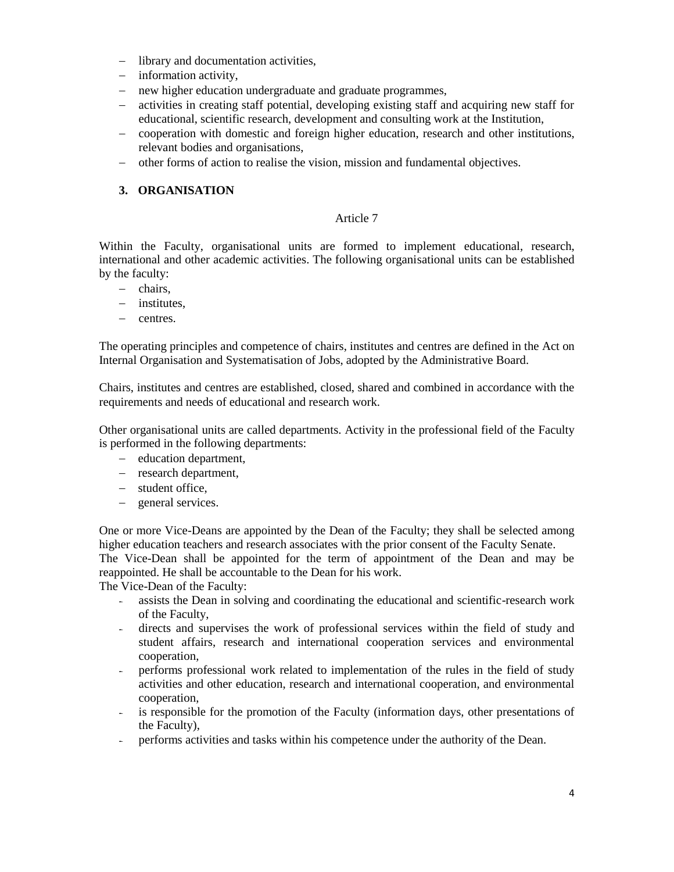- − library and documentation activities,
- − information activity,
- − new higher education undergraduate and graduate programmes,
- − activities in creating staff potential, developing existing staff and acquiring new staff for educational, scientific research, development and consulting work at the Institution,
- − cooperation with domestic and foreign higher education, research and other institutions, relevant bodies and organisations,
- − other forms of action to realise the vision, mission and fundamental objectives.

# <span id="page-3-0"></span>**3. ORGANISATION**

## Article 7

Within the Faculty, organisational units are formed to implement educational, research, international and other academic activities. The following organisational units can be established by the faculty:

- − chairs,
- − institutes,
- − centres.

The operating principles and competence of chairs, institutes and centres are defined in the Act on Internal Organisation and Systematisation of Jobs, adopted by the Administrative Board.

Chairs, institutes and centres are established, closed, shared and combined in accordance with the requirements and needs of educational and research work.

Other organisational units are called departments. Activity in the professional field of the Faculty is performed in the following departments:

- − education department,
- − research department,
- − student office,
- − general services.

One or more Vice-Deans are appointed by the Dean of the Faculty; they shall be selected among higher education teachers and research associates with the prior consent of the Faculty Senate. The Vice-Dean shall be appointed for the term of appointment of the Dean and may be reappointed. He shall be accountable to the Dean for his work.

The Vice-Dean of the Faculty:

- assists the Dean in solving and coordinating the educational and scientific-research work of the Faculty,
- directs and supervises the work of professional services within the field of study and student affairs, research and international cooperation services and environmental cooperation,
- performs professional work related to implementation of the rules in the field of study activities and other education, research and international cooperation, and environmental cooperation,
- is responsible for the promotion of the Faculty (information days, other presentations of the Faculty),
- performs activities and tasks within his competence under the authority of the Dean.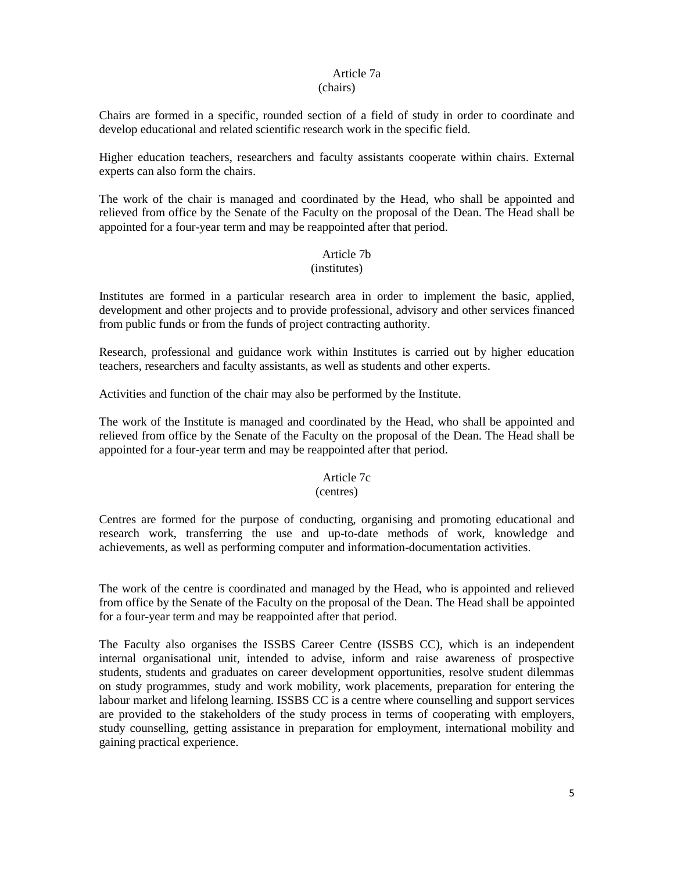# Article 7a

## (chairs)

Chairs are formed in a specific, rounded section of a field of study in order to coordinate and develop educational and related scientific research work in the specific field.

Higher education teachers, researchers and faculty assistants cooperate within chairs. External experts can also form the chairs.

The work of the chair is managed and coordinated by the Head, who shall be appointed and relieved from office by the Senate of the Faculty on the proposal of the Dean. The Head shall be appointed for a four-year term and may be reappointed after that period.

### Article 7b

#### (institutes)

Institutes are formed in a particular research area in order to implement the basic, applied, development and other projects and to provide professional, advisory and other services financed from public funds or from the funds of project contracting authority.

Research, professional and guidance work within Institutes is carried out by higher education teachers, researchers and faculty assistants, as well as students and other experts.

Activities and function of the chair may also be performed by the Institute.

The work of the Institute is managed and coordinated by the Head, who shall be appointed and relieved from office by the Senate of the Faculty on the proposal of the Dean. The Head shall be appointed for a four-year term and may be reappointed after that period.

## Article 7c

#### (centres)

Centres are formed for the purpose of conducting, organising and promoting educational and research work, transferring the use and up-to-date methods of work, knowledge and achievements, as well as performing computer and information-documentation activities.

The work of the centre is coordinated and managed by the Head, who is appointed and relieved from office by the Senate of the Faculty on the proposal of the Dean. The Head shall be appointed for a four-year term and may be reappointed after that period.

The Faculty also organises the ISSBS Career Centre (ISSBS CC), which is an independent internal organisational unit, intended to advise, inform and raise awareness of prospective students, students and graduates on career development opportunities, resolve student dilemmas on study programmes, study and work mobility, work placements, preparation for entering the labour market and lifelong learning. ISSBS CC is a centre where counselling and support services are provided to the stakeholders of the study process in terms of cooperating with employers, study counselling, getting assistance in preparation for employment, international mobility and gaining practical experience.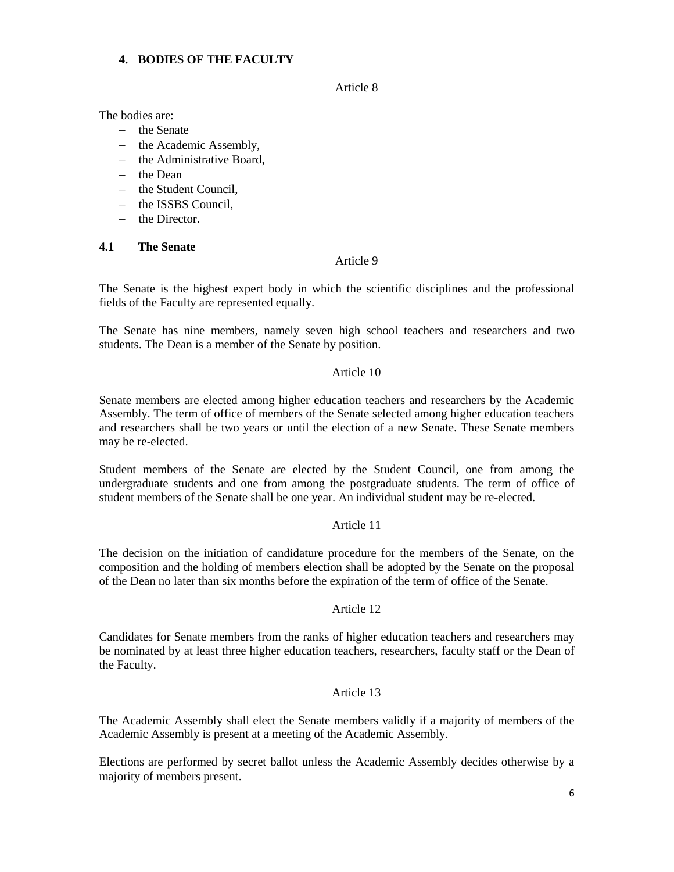# <span id="page-5-0"></span>**4. BODIES OF THE FACULTY**

Article 8

The bodies are:

- − the Senate
- − the Academic Assembly,
- − the Administrative Board,
- − the Dean
- − the Student Council,
- − the ISSBS Council,
- − the Director.

### <span id="page-5-1"></span>**4.1 The Senate**

## Article 9

The Senate is the highest expert body in which the scientific disciplines and the professional fields of the Faculty are represented equally.

The Senate has nine members, namely seven high school teachers and researchers and two students. The Dean is a member of the Senate by position.

## Article 10

Senate members are elected among higher education teachers and researchers by the Academic Assembly. The term of office of members of the Senate selected among higher education teachers and researchers shall be two years or until the election of a new Senate. These Senate members may be re-elected.

Student members of the Senate are elected by the Student Council, one from among the undergraduate students and one from among the postgraduate students. The term of office of student members of the Senate shall be one year. An individual student may be re-elected.

## Article 11

The decision on the initiation of candidature procedure for the members of the Senate, on the composition and the holding of members election shall be adopted by the Senate on the proposal of the Dean no later than six months before the expiration of the term of office of the Senate.

## Article 12

Candidates for Senate members from the ranks of higher education teachers and researchers may be nominated by at least three higher education teachers, researchers, faculty staff or the Dean of the Faculty.

#### Article 13

The Academic Assembly shall elect the Senate members validly if a majority of members of the Academic Assembly is present at a meeting of the Academic Assembly.

Elections are performed by secret ballot unless the Academic Assembly decides otherwise by a majority of members present.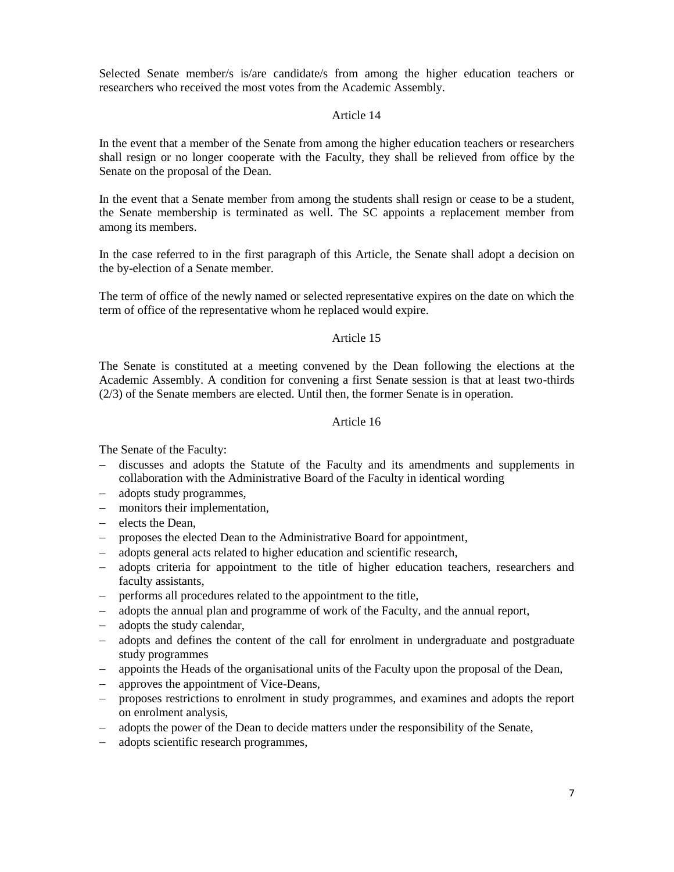Selected Senate member/s is/are candidate/s from among the higher education teachers or researchers who received the most votes from the Academic Assembly.

### Article 14

In the event that a member of the Senate from among the higher education teachers or researchers shall resign or no longer cooperate with the Faculty, they shall be relieved from office by the Senate on the proposal of the Dean.

In the event that a Senate member from among the students shall resign or cease to be a student, the Senate membership is terminated as well. The SC appoints a replacement member from among its members.

In the case referred to in the first paragraph of this Article, the Senate shall adopt a decision on the by-election of a Senate member.

The term of office of the newly named or selected representative expires on the date on which the term of office of the representative whom he replaced would expire.

### Article 15

The Senate is constituted at a meeting convened by the Dean following the elections at the Academic Assembly. A condition for convening a first Senate session is that at least two-thirds (2/3) of the Senate members are elected. Until then, the former Senate is in operation.

#### Article 16

The Senate of the Faculty:

- − discusses and adopts the Statute of the Faculty and its amendments and supplements in collaboration with the Administrative Board of the Faculty in identical wording
- − adopts study programmes,
- − monitors their implementation,
- − elects the Dean,
- − proposes the elected Dean to the Administrative Board for appointment,
- − adopts general acts related to higher education and scientific research,
- − adopts criteria for appointment to the title of higher education teachers, researchers and faculty assistants,
- − performs all procedures related to the appointment to the title,
- − adopts the annual plan and programme of work of the Faculty, and the annual report,
- − adopts the study calendar,
- − adopts and defines the content of the call for enrolment in undergraduate and postgraduate study programmes
- − appoints the Heads of the organisational units of the Faculty upon the proposal of the Dean,
- − approves the appointment of Vice-Deans,
- − proposes restrictions to enrolment in study programmes, and examines and adopts the report on enrolment analysis,
- − adopts the power of the Dean to decide matters under the responsibility of the Senate,
- − adopts scientific research programmes,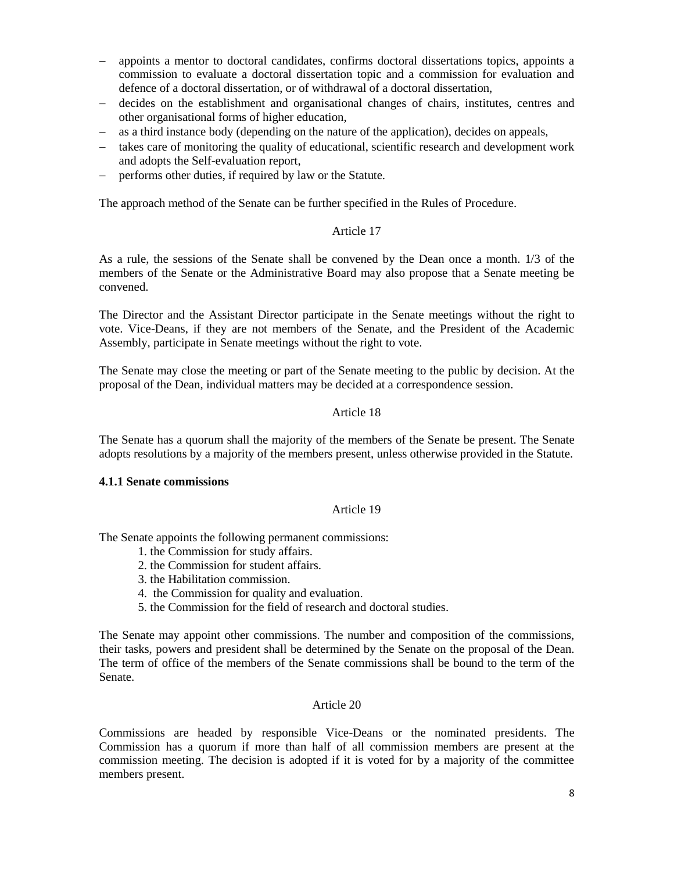- appoints a mentor to doctoral candidates, confirms doctoral dissertations topics, appoints a commission to evaluate a doctoral dissertation topic and a commission for evaluation and defence of a doctoral dissertation, or of withdrawal of a doctoral dissertation,
- − decides on the establishment and organisational changes of chairs, institutes, centres and other organisational forms of higher education,
- as a third instance body (depending on the nature of the application), decides on appeals,
- − takes care of monitoring the quality of educational, scientific research and development work and adopts the Self-evaluation report,
- − performs other duties, if required by law or the Statute.

The approach method of the Senate can be further specified in the Rules of Procedure.

# Article 17

As a rule, the sessions of the Senate shall be convened by the Dean once a month. 1/3 of the members of the Senate or the Administrative Board may also propose that a Senate meeting be convened.

The Director and the Assistant Director participate in the Senate meetings without the right to vote. Vice-Deans, if they are not members of the Senate, and the President of the Academic Assembly, participate in Senate meetings without the right to vote.

The Senate may close the meeting or part of the Senate meeting to the public by decision. At the proposal of the Dean, individual matters may be decided at a correspondence session.

# Article 18

The Senate has a quorum shall the majority of the members of the Senate be present. The Senate adopts resolutions by a majority of the members present, unless otherwise provided in the Statute.

## <span id="page-7-0"></span>**4.1.1 Senate commissions**

## Article 19

The Senate appoints the following permanent commissions:

- 1. the Commission for study affairs.
- 2. the Commission for student affairs.
- 3. the Habilitation commission.
- 4. the Commission for quality and evaluation.
- 5. the Commission for the field of research and doctoral studies.

The Senate may appoint other commissions. The number and composition of the commissions, their tasks, powers and president shall be determined by the Senate on the proposal of the Dean. The term of office of the members of the Senate commissions shall be bound to the term of the Senate.

#### Article 20

Commissions are headed by responsible Vice-Deans or the nominated presidents. The Commission has a quorum if more than half of all commission members are present at the commission meeting. The decision is adopted if it is voted for by a majority of the committee members present.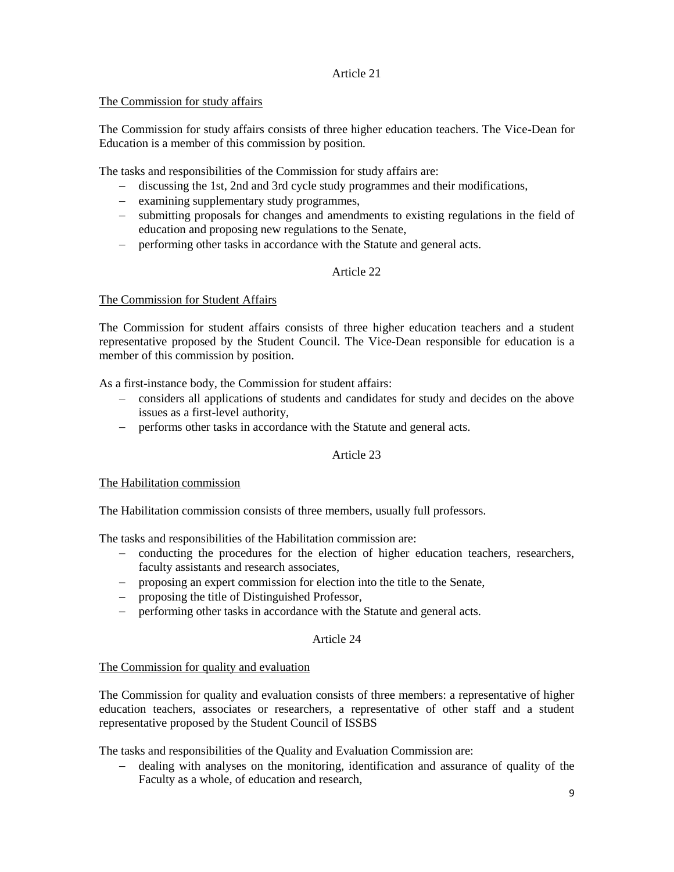# <span id="page-8-0"></span>The Commission for study affairs

The Commission for study affairs consists of three higher education teachers. The Vice-Dean for Education is a member of this commission by position.

The tasks and responsibilities of the Commission for study affairs are:

- − discussing the 1st, 2nd and 3rd cycle study programmes and their modifications,
- − examining supplementary study programmes,
- − submitting proposals for changes and amendments to existing regulations in the field of education and proposing new regulations to the Senate,
- − performing other tasks in accordance with the Statute and general acts.

# Article 22

# <span id="page-8-1"></span>The Commission for Student Affairs

The Commission for student affairs consists of three higher education teachers and a student representative proposed by the Student Council. The Vice-Dean responsible for education is a member of this commission by position.

As a first-instance body, the Commission for student affairs:

- − considers all applications of students and candidates for study and decides on the above issues as a first-level authority,
- − performs other tasks in accordance with the Statute and general acts.

# Article 23

## <span id="page-8-2"></span>The Habilitation commission

The Habilitation commission consists of three members, usually full professors.

The tasks and responsibilities of the Habilitation commission are:

- − conducting the procedures for the election of higher education teachers, researchers, faculty assistants and research associates,
- − proposing an expert commission for election into the title to the Senate,
- − proposing the title of Distinguished Professor,
- − performing other tasks in accordance with the Statute and general acts.

## Article 24

## <span id="page-8-3"></span>The Commission for quality and evaluation

The Commission for quality and evaluation consists of three members: a representative of higher education teachers, associates or researchers, a representative of other staff and a student representative proposed by the Student Council of ISSBS

The tasks and responsibilities of the Quality and Evaluation Commission are:

− dealing with analyses on the monitoring, identification and assurance of quality of the Faculty as a whole, of education and research,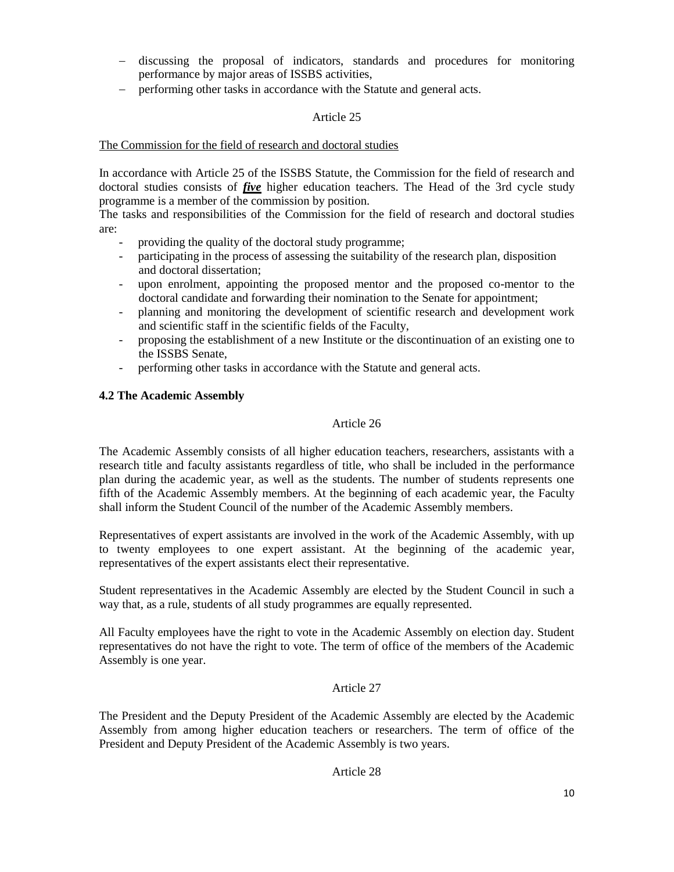- − discussing the proposal of indicators, standards and procedures for monitoring performance by major areas of ISSBS activities,
- − performing other tasks in accordance with the Statute and general acts.

# <span id="page-9-0"></span>The Commission for the field of research and doctoral studies

In accordance with Article 25 of the ISSBS Statute, the Commission for the field of research and doctoral studies consists of *five* higher education teachers. The Head of the 3rd cycle study programme is a member of the commission by position.

The tasks and responsibilities of the Commission for the field of research and doctoral studies are:

- providing the quality of the doctoral study programme;
- participating in the process of assessing the suitability of the research plan, disposition and doctoral dissertation;
- upon enrolment, appointing the proposed mentor and the proposed co-mentor to the doctoral candidate and forwarding their nomination to the Senate for appointment;
- planning and monitoring the development of scientific research and development work and scientific staff in the scientific fields of the Faculty,
- proposing the establishment of a new Institute or the discontinuation of an existing one to the ISSBS Senate,
- performing other tasks in accordance with the Statute and general acts.

## <span id="page-9-1"></span>**4.2 The Academic Assembly**

# Article 26

The Academic Assembly consists of all higher education teachers, researchers, assistants with a research title and faculty assistants regardless of title, who shall be included in the performance plan during the academic year, as well as the students. The number of students represents one fifth of the Academic Assembly members. At the beginning of each academic year, the Faculty shall inform the Student Council of the number of the Academic Assembly members.

Representatives of expert assistants are involved in the work of the Academic Assembly, with up to twenty employees to one expert assistant. At the beginning of the academic year, representatives of the expert assistants elect their representative.

Student representatives in the Academic Assembly are elected by the Student Council in such a way that, as a rule, students of all study programmes are equally represented.

All Faculty employees have the right to vote in the Academic Assembly on election day. Student representatives do not have the right to vote. The term of office of the members of the Academic Assembly is one year.

## Article 27

The President and the Deputy President of the Academic Assembly are elected by the Academic Assembly from among higher education teachers or researchers. The term of office of the President and Deputy President of the Academic Assembly is two years.

## Article 28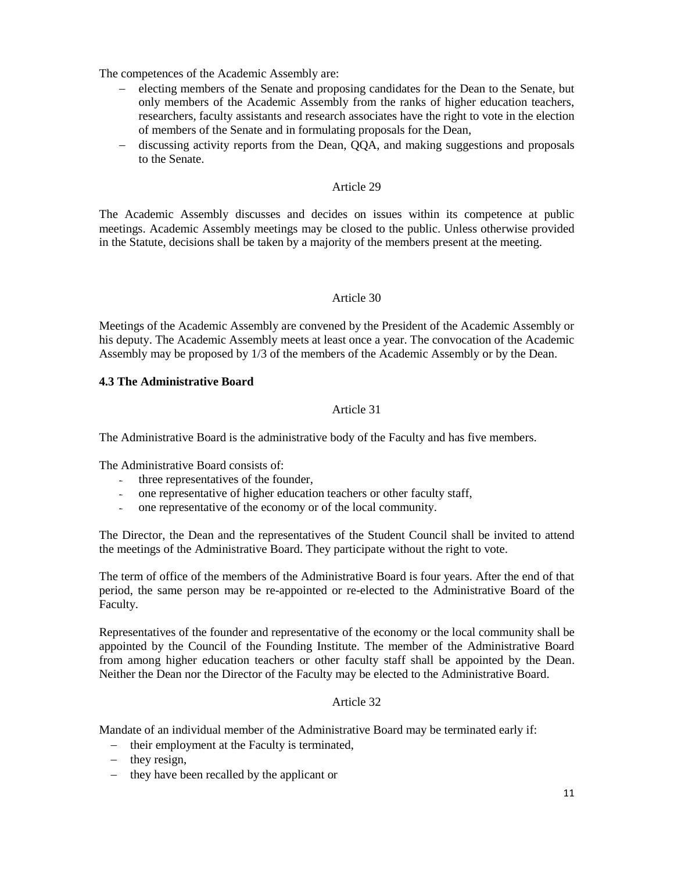The competences of the Academic Assembly are:

- − electing members of the Senate and proposing candidates for the Dean to the Senate, but only members of the Academic Assembly from the ranks of higher education teachers, researchers, faculty assistants and research associates have the right to vote in the election of members of the Senate and in formulating proposals for the Dean,
- − discussing activity reports from the Dean, QQA, and making suggestions and proposals to the Senate.

### Article 29

The Academic Assembly discusses and decides on issues within its competence at public meetings. Academic Assembly meetings may be closed to the public. Unless otherwise provided in the Statute, decisions shall be taken by a majority of the members present at the meeting.

### Article 30

Meetings of the Academic Assembly are convened by the President of the Academic Assembly or his deputy. The Academic Assembly meets at least once a year. The convocation of the Academic Assembly may be proposed by 1/3 of the members of the Academic Assembly or by the Dean.

### <span id="page-10-0"></span>**4.3 The Administrative Board**

## Article 31

The Administrative Board is the administrative body of the Faculty and has five members.

The Administrative Board consists of:

- three representatives of the founder,
- one representative of higher education teachers or other faculty staff,
- one representative of the economy or of the local community.

The Director, the Dean and the representatives of the Student Council shall be invited to attend the meetings of the Administrative Board. They participate without the right to vote.

The term of office of the members of the Administrative Board is four years. After the end of that period, the same person may be re-appointed or re-elected to the Administrative Board of the Faculty.

Representatives of the founder and representative of the economy or the local community shall be appointed by the Council of the Founding Institute. The member of the Administrative Board from among higher education teachers or other faculty staff shall be appointed by the Dean. Neither the Dean nor the Director of the Faculty may be elected to the Administrative Board.

## Article 32

Mandate of an individual member of the Administrative Board may be terminated early if:

- − their employment at the Faculty is terminated,
- − they resign,
- − they have been recalled by the applicant or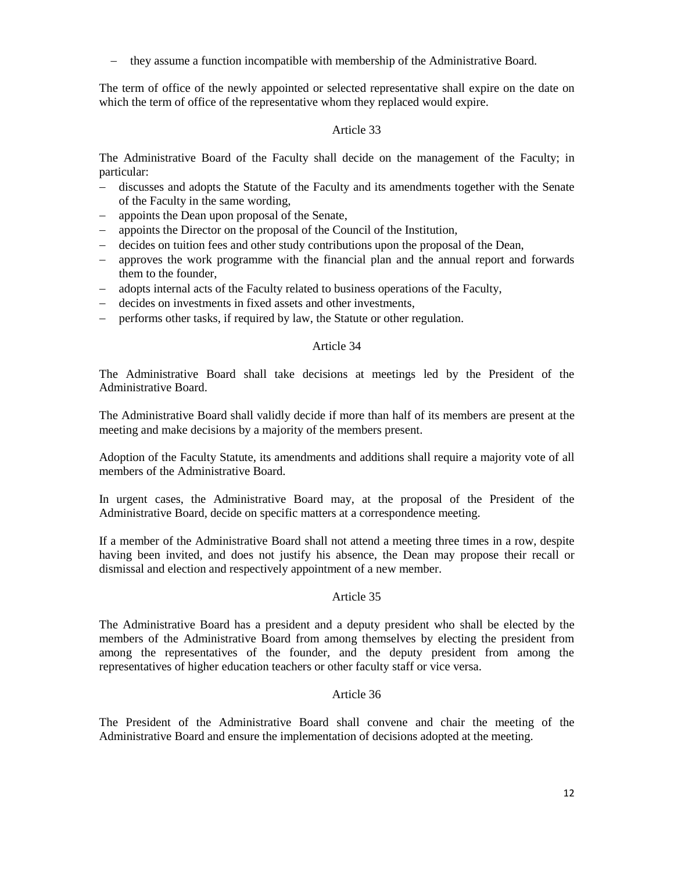− they assume a function incompatible with membership of the Administrative Board.

The term of office of the newly appointed or selected representative shall expire on the date on which the term of office of the representative whom they replaced would expire.

### Article 33

The Administrative Board of the Faculty shall decide on the management of the Faculty; in particular:

- − discusses and adopts the Statute of the Faculty and its amendments together with the Senate of the Faculty in the same wording,
- − appoints the Dean upon proposal of the Senate,
- − appoints the Director on the proposal of the Council of the Institution,
- − decides on tuition fees and other study contributions upon the proposal of the Dean,
- − approves the work programme with the financial plan and the annual report and forwards them to the founder,
- − adopts internal acts of the Faculty related to business operations of the Faculty,
- − decides on investments in fixed assets and other investments,
- − performs other tasks, if required by law, the Statute or other regulation.

### Article 34

The Administrative Board shall take decisions at meetings led by the President of the Administrative Board.

The Administrative Board shall validly decide if more than half of its members are present at the meeting and make decisions by a majority of the members present.

Adoption of the Faculty Statute, its amendments and additions shall require a majority vote of all members of the Administrative Board.

In urgent cases, the Administrative Board may, at the proposal of the President of the Administrative Board, decide on specific matters at a correspondence meeting.

If a member of the Administrative Board shall not attend a meeting three times in a row, despite having been invited, and does not justify his absence, the Dean may propose their recall or dismissal and election and respectively appointment of a new member.

#### Article 35

The Administrative Board has a president and a deputy president who shall be elected by the members of the Administrative Board from among themselves by electing the president from among the representatives of the founder, and the deputy president from among the representatives of higher education teachers or other faculty staff or vice versa.

#### Article 36

The President of the Administrative Board shall convene and chair the meeting of the Administrative Board and ensure the implementation of decisions adopted at the meeting.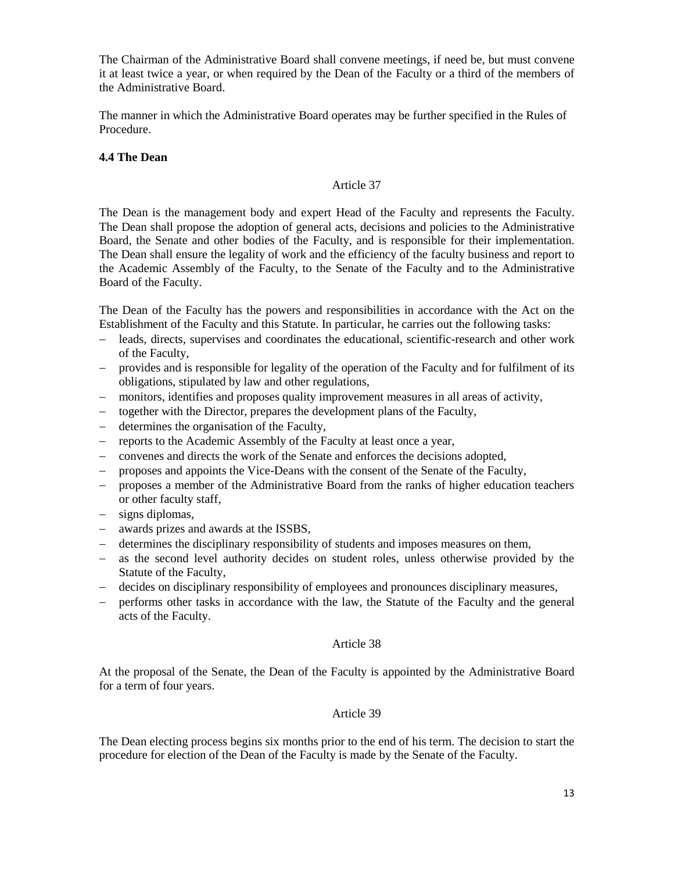The Chairman of the Administrative Board shall convene meetings, if need be, but must convene it at least twice a year, or when required by the Dean of the Faculty or a third of the members of the Administrative Board.

The manner in which the Administrative Board operates may be further specified in the Rules of Procedure.

# <span id="page-12-0"></span>**4.4 The Dean**

### Article 37

The Dean is the management body and expert Head of the Faculty and represents the Faculty. The Dean shall propose the adoption of general acts, decisions and policies to the Administrative Board, the Senate and other bodies of the Faculty, and is responsible for their implementation. The Dean shall ensure the legality of work and the efficiency of the faculty business and report to the Academic Assembly of the Faculty, to the Senate of the Faculty and to the Administrative Board of the Faculty.

The Dean of the Faculty has the powers and responsibilities in accordance with the Act on the Establishment of the Faculty and this Statute. In particular, he carries out the following tasks:

- − leads, directs, supervises and coordinates the educational, scientific-research and other work of the Faculty,
- − provides and is responsible for legality of the operation of the Faculty and for fulfilment of its obligations, stipulated by law and other regulations,
- − monitors, identifies and proposes quality improvement measures in all areas of activity,
- − together with the Director, prepares the development plans of the Faculty,
- − determines the organisation of the Faculty,
- − reports to the Academic Assembly of the Faculty at least once a year,
- − convenes and directs the work of the Senate and enforces the decisions adopted,
- proposes and appoints the Vice-Deans with the consent of the Senate of the Faculty,
- − proposes a member of the Administrative Board from the ranks of higher education teachers or other faculty staff,
- − signs diplomas,
- − awards prizes and awards at the ISSBS,
- − determines the disciplinary responsibility of students and imposes measures on them,
- − as the second level authority decides on student roles, unless otherwise provided by the Statute of the Faculty,
- − decides on disciplinary responsibility of employees and pronounces disciplinary measures,
- − performs other tasks in accordance with the law, the Statute of the Faculty and the general acts of the Faculty.

## Article 38

At the proposal of the Senate, the Dean of the Faculty is appointed by the Administrative Board for a term of four years.

## Article 39

The Dean electing process begins six months prior to the end of his term. The decision to start the procedure for election of the Dean of the Faculty is made by the Senate of the Faculty.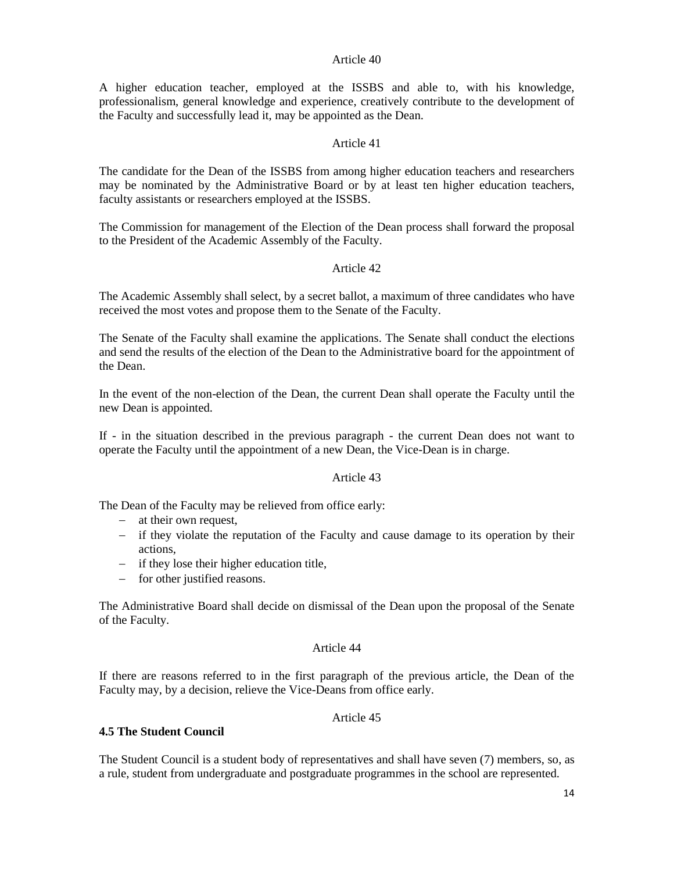A higher education teacher, employed at the ISSBS and able to, with his knowledge, professionalism, general knowledge and experience, creatively contribute to the development of the Faculty and successfully lead it, may be appointed as the Dean.

## Article 41

The candidate for the Dean of the ISSBS from among higher education teachers and researchers may be nominated by the Administrative Board or by at least ten higher education teachers, faculty assistants or researchers employed at the ISSBS.

The Commission for management of the Election of the Dean process shall forward the proposal to the President of the Academic Assembly of the Faculty.

## Article 42

The Academic Assembly shall select, by a secret ballot, a maximum of three candidates who have received the most votes and propose them to the Senate of the Faculty.

The Senate of the Faculty shall examine the applications. The Senate shall conduct the elections and send the results of the election of the Dean to the Administrative board for the appointment of the Dean.

In the event of the non-election of the Dean, the current Dean shall operate the Faculty until the new Dean is appointed.

If - in the situation described in the previous paragraph - the current Dean does not want to operate the Faculty until the appointment of a new Dean, the Vice-Dean is in charge.

#### Article 43

The Dean of the Faculty may be relieved from office early:

- − at their own request,
- − if they violate the reputation of the Faculty and cause damage to its operation by their actions,
- − if they lose their higher education title,
- − for other justified reasons.

The Administrative Board shall decide on dismissal of the Dean upon the proposal of the Senate of the Faculty.

#### Article 44

If there are reasons referred to in the first paragraph of the previous article, the Dean of the Faculty may, by a decision, relieve the Vice-Deans from office early.

## Article 45

#### <span id="page-13-0"></span>**4.5 The Student Council**

The Student Council is a student body of representatives and shall have seven (7) members, so, as a rule, student from undergraduate and postgraduate programmes in the school are represented.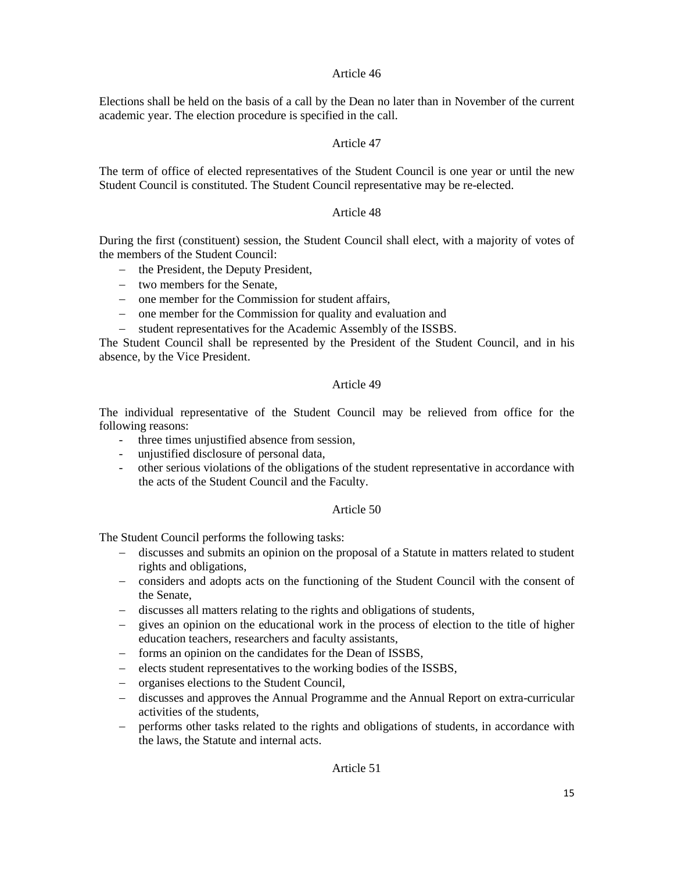Elections shall be held on the basis of a call by the Dean no later than in November of the current academic year. The election procedure is specified in the call.

# Article 47

The term of office of elected representatives of the Student Council is one year or until the new Student Council is constituted. The Student Council representative may be re-elected.

# Article 48

During the first (constituent) session, the Student Council shall elect, with a majority of votes of the members of the Student Council:

- − the President, the Deputy President,
- − two members for the Senate,
- − one member for the Commission for student affairs,
- − one member for the Commission for quality and evaluation and
- − student representatives for the Academic Assembly of the ISSBS.

The Student Council shall be represented by the President of the Student Council, and in his absence, by the Vice President.

#### Article 49

The individual representative of the Student Council may be relieved from office for the following reasons:

- three times unjustified absence from session,
- unjustified disclosure of personal data,
- other serious violations of the obligations of the student representative in accordance with the acts of the Student Council and the Faculty.

## Article 50

The Student Council performs the following tasks:

- − discusses and submits an opinion on the proposal of a Statute in matters related to student rights and obligations,
- − considers and adopts acts on the functioning of the Student Council with the consent of the Senate,
- − discusses all matters relating to the rights and obligations of students,
- − gives an opinion on the educational work in the process of election to the title of higher education teachers, researchers and faculty assistants,
- − forms an opinion on the candidates for the Dean of ISSBS,
- − elects student representatives to the working bodies of the ISSBS,
- − organises elections to the Student Council,
- − discusses and approves the Annual Programme and the Annual Report on extra-curricular activities of the students,
- − performs other tasks related to the rights and obligations of students, in accordance with the laws, the Statute and internal acts.

Article 51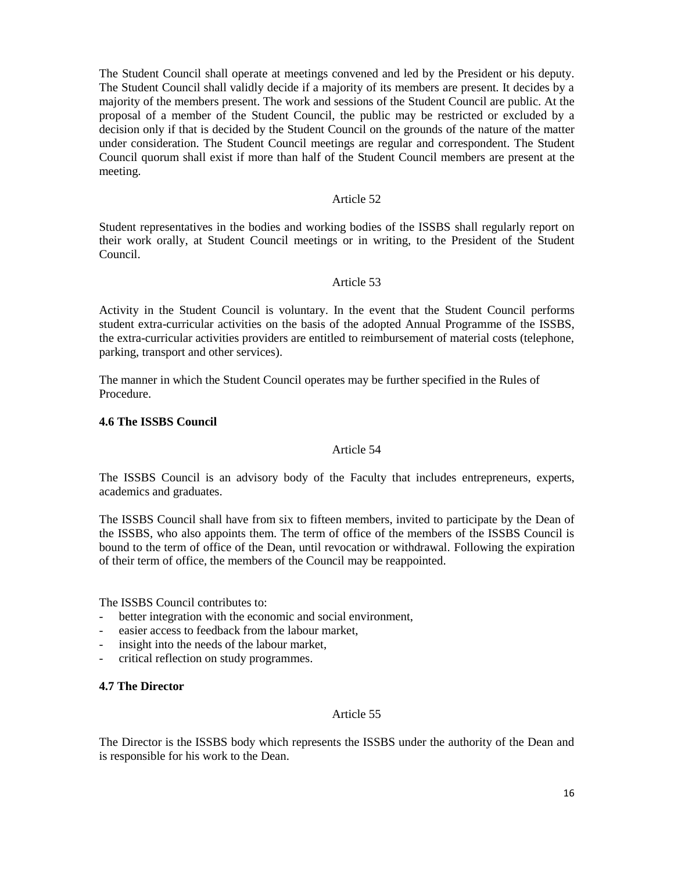The Student Council shall operate at meetings convened and led by the President or his deputy. The Student Council shall validly decide if a majority of its members are present. It decides by a majority of the members present. The work and sessions of the Student Council are public. At the proposal of a member of the Student Council, the public may be restricted or excluded by a decision only if that is decided by the Student Council on the grounds of the nature of the matter under consideration. The Student Council meetings are regular and correspondent. The Student Council quorum shall exist if more than half of the Student Council members are present at the meeting.

### Article 52

Student representatives in the bodies and working bodies of the ISSBS shall regularly report on their work orally, at Student Council meetings or in writing, to the President of the Student Council.

### Article 53

Activity in the Student Council is voluntary. In the event that the Student Council performs student extra-curricular activities on the basis of the adopted Annual Programme of the ISSBS, the extra-curricular activities providers are entitled to reimbursement of material costs (telephone, parking, transport and other services).

The manner in which the Student Council operates may be further specified in the Rules of Procedure.

#### <span id="page-15-0"></span>**4.6 The ISSBS Council**

### Article 54

The ISSBS Council is an advisory body of the Faculty that includes entrepreneurs, experts, academics and graduates.

The ISSBS Council shall have from six to fifteen members, invited to participate by the Dean of the ISSBS, who also appoints them. The term of office of the members of the ISSBS Council is bound to the term of office of the Dean, until revocation or withdrawal. Following the expiration of their term of office, the members of the Council may be reappointed.

The ISSBS Council contributes to:

- better integration with the economic and social environment,
- easier access to feedback from the labour market,
- insight into the needs of the labour market,
- critical reflection on study programmes.

#### <span id="page-15-1"></span>**4.7 The Director**

#### Article 55

The Director is the ISSBS body which represents the ISSBS under the authority of the Dean and is responsible for his work to the Dean.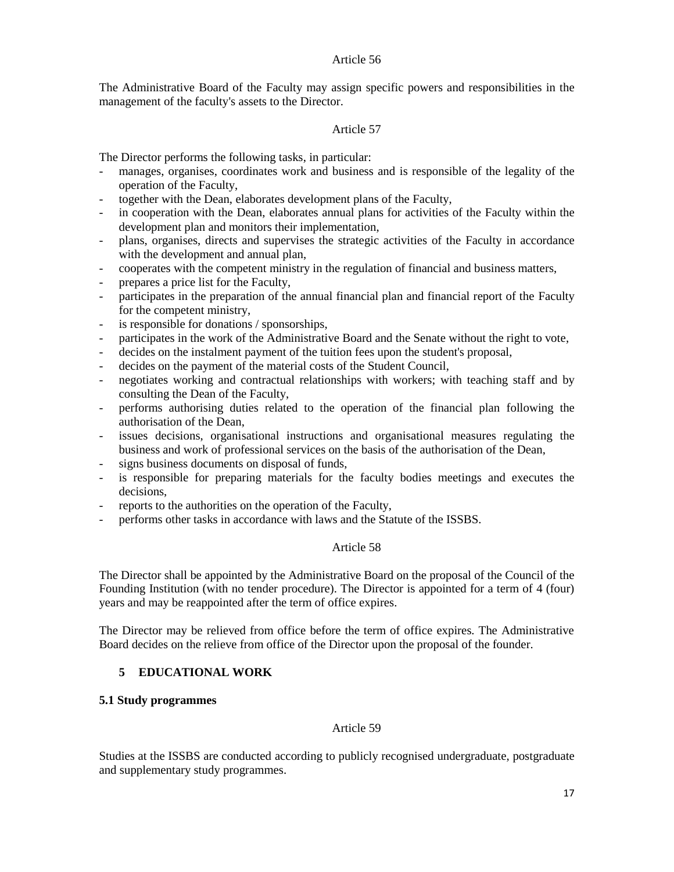The Administrative Board of the Faculty may assign specific powers and responsibilities in the management of the faculty's assets to the Director.

# Article 57

The Director performs the following tasks, in particular:

- manages, organises, coordinates work and business and is responsible of the legality of the operation of the Faculty,
- together with the Dean, elaborates development plans of the Faculty,
- in cooperation with the Dean, elaborates annual plans for activities of the Faculty within the development plan and monitors their implementation,
- plans, organises, directs and supervises the strategic activities of the Faculty in accordance with the development and annual plan,
- cooperates with the competent ministry in the regulation of financial and business matters,
- prepares a price list for the Faculty,
- participates in the preparation of the annual financial plan and financial report of the Faculty for the competent ministry,
- is responsible for donations / sponsorships,
- participates in the work of the Administrative Board and the Senate without the right to vote,
- decides on the instalment payment of the tuition fees upon the student's proposal,
- decides on the payment of the material costs of the Student Council,
- negotiates working and contractual relationships with workers; with teaching staff and by consulting the Dean of the Faculty,
- performs authorising duties related to the operation of the financial plan following the authorisation of the Dean,
- issues decisions, organisational instructions and organisational measures regulating the business and work of professional services on the basis of the authorisation of the Dean,
- signs business documents on disposal of funds,
- is responsible for preparing materials for the faculty bodies meetings and executes the decisions,
- reports to the authorities on the operation of the Faculty,
- performs other tasks in accordance with laws and the Statute of the ISSBS.

## Article 58

The Director shall be appointed by the Administrative Board on the proposal of the Council of the Founding Institution (with no tender procedure). The Director is appointed for a term of 4 (four) years and may be reappointed after the term of office expires.

The Director may be relieved from office before the term of office expires. The Administrative Board decides on the relieve from office of the Director upon the proposal of the founder.

# <span id="page-16-0"></span>**5 EDUCATIONAL WORK**

## <span id="page-16-1"></span>**5.1 Study programmes**

# Article 59

Studies at the ISSBS are conducted according to publicly recognised undergraduate, postgraduate and supplementary study programmes.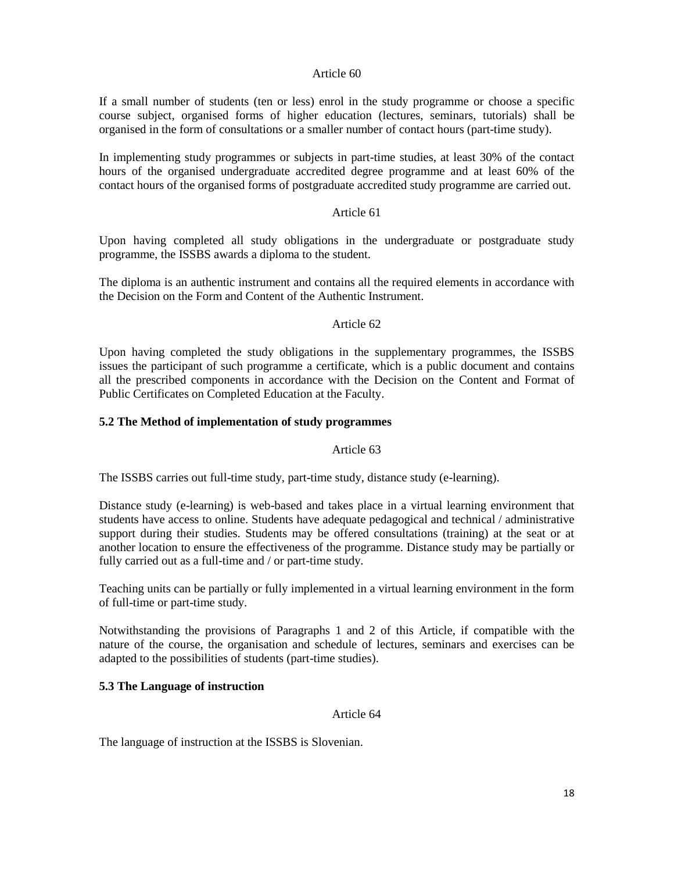If a small number of students (ten or less) enrol in the study programme or choose a specific course subject, organised forms of higher education (lectures, seminars, tutorials) shall be organised in the form of consultations or a smaller number of contact hours (part-time study).

In implementing study programmes or subjects in part-time studies, at least 30% of the contact hours of the organised undergraduate accredited degree programme and at least 60% of the contact hours of the organised forms of postgraduate accredited study programme are carried out.

# Article 61

Upon having completed all study obligations in the undergraduate or postgraduate study programme, the ISSBS awards a diploma to the student.

The diploma is an authentic instrument and contains all the required elements in accordance with the Decision on the Form and Content of the Authentic Instrument.

#### Article 62

Upon having completed the study obligations in the supplementary programmes, the ISSBS issues the participant of such programme a certificate, which is a public document and contains all the prescribed components in accordance with the Decision on the Content and Format of Public Certificates on Completed Education at the Faculty.

### <span id="page-17-0"></span>**5.2 The Method of implementation of study programmes**

### Article 63

The ISSBS carries out full-time study, part-time study, distance study (e-learning).

Distance study (e-learning) is web-based and takes place in a virtual learning environment that students have access to online. Students have adequate pedagogical and technical / administrative support during their studies. Students may be offered consultations (training) at the seat or at another location to ensure the effectiveness of the programme. Distance study may be partially or fully carried out as a full-time and / or part-time study.

Teaching units can be partially or fully implemented in a virtual learning environment in the form of full-time or part-time study.

Notwithstanding the provisions of Paragraphs 1 and 2 of this Article, if compatible with the nature of the course, the organisation and schedule of lectures, seminars and exercises can be adapted to the possibilities of students (part-time studies).

## <span id="page-17-1"></span>**5.3 The Language of instruction**

#### Article 64

The language of instruction at the ISSBS is Slovenian.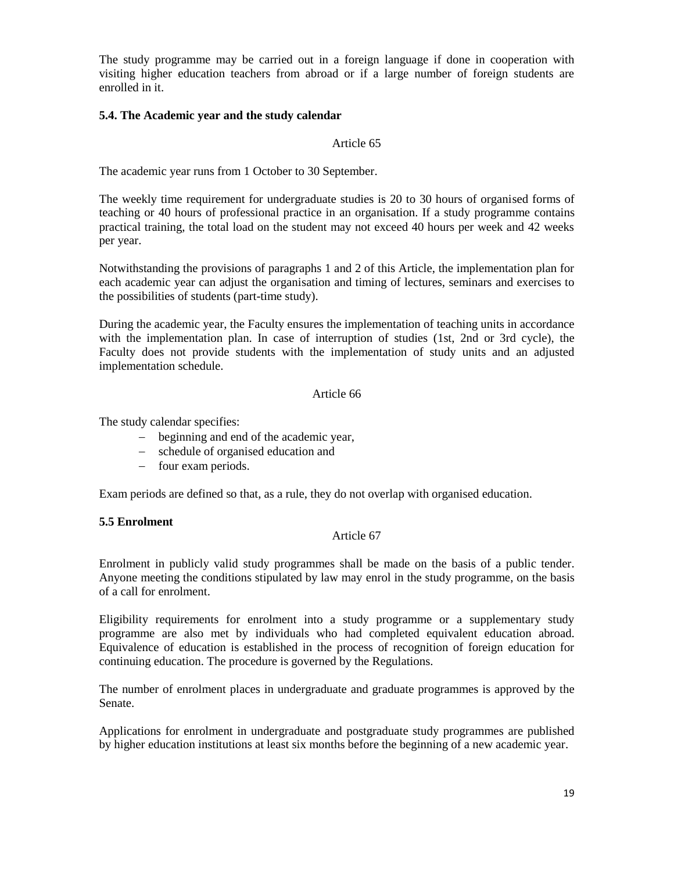The study programme may be carried out in a foreign language if done in cooperation with visiting higher education teachers from abroad or if a large number of foreign students are enrolled in it.

## <span id="page-18-0"></span>**5.4. The Academic year and the study calendar**

### Article 65

The academic year runs from 1 October to 30 September.

The weekly time requirement for undergraduate studies is 20 to 30 hours of organised forms of teaching or 40 hours of professional practice in an organisation. If a study programme contains practical training, the total load on the student may not exceed 40 hours per week and 42 weeks per year.

Notwithstanding the provisions of paragraphs 1 and 2 of this Article, the implementation plan for each academic year can adjust the organisation and timing of lectures, seminars and exercises to the possibilities of students (part-time study).

During the academic year, the Faculty ensures the implementation of teaching units in accordance with the implementation plan. In case of interruption of studies (1st, 2nd or 3rd cycle), the Faculty does not provide students with the implementation of study units and an adjusted implementation schedule.

### Article 66

The study calendar specifies:

- − beginning and end of the academic year,
- − schedule of organised education and
- − four exam periods.

Exam periods are defined so that, as a rule, they do not overlap with organised education.

## <span id="page-18-1"></span>**5.5 Enrolment**

## Article 67

Enrolment in publicly valid study programmes shall be made on the basis of a public tender. Anyone meeting the conditions stipulated by law may enrol in the study programme, on the basis of a call for enrolment.

Eligibility requirements for enrolment into a study programme or a supplementary study programme are also met by individuals who had completed equivalent education abroad. Equivalence of education is established in the process of recognition of foreign education for continuing education. The procedure is governed by the Regulations.

The number of enrolment places in undergraduate and graduate programmes is approved by the Senate.

Applications for enrolment in undergraduate and postgraduate study programmes are published by higher education institutions at least six months before the beginning of a new academic year.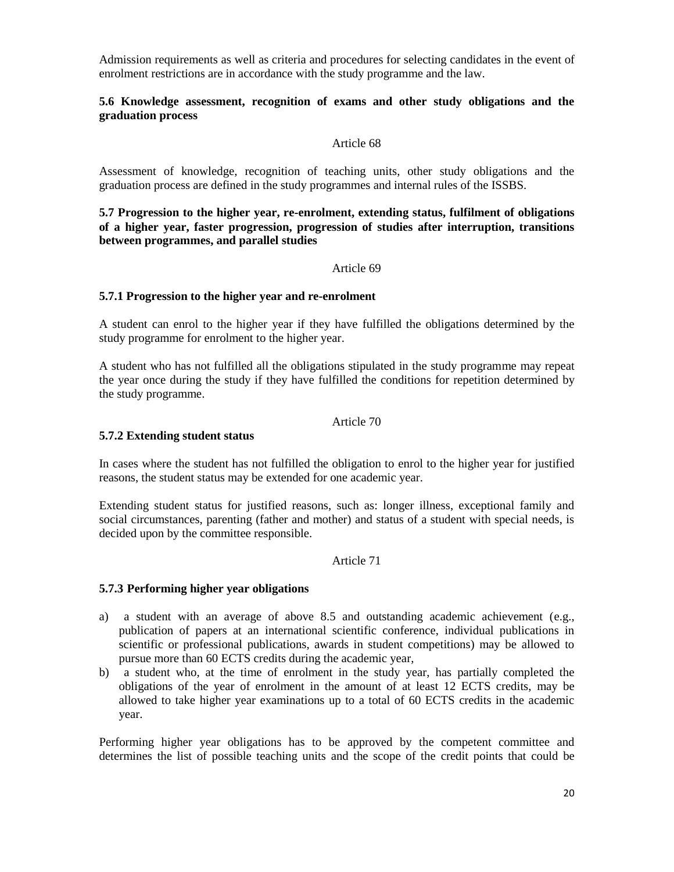Admission requirements as well as criteria and procedures for selecting candidates in the event of enrolment restrictions are in accordance with the study programme and the law.

## <span id="page-19-0"></span>**5.6 Knowledge assessment, recognition of exams and other study obligations and the graduation process**

## Article 68

Assessment of knowledge, recognition of teaching units, other study obligations and the graduation process are defined in the study programmes and internal rules of the ISSBS.

<span id="page-19-1"></span>**5.7 Progression to the higher year, re-enrolment, extending status, fulfilment of obligations of a higher year, faster progression, progression of studies after interruption, transitions between programmes, and parallel studies** 

#### Article 69

### <span id="page-19-2"></span>**5.7.1 Progression to the higher year and re-enrolment**

A student can enrol to the higher year if they have fulfilled the obligations determined by the study programme for enrolment to the higher year.

A student who has not fulfilled all the obligations stipulated in the study programme may repeat the year once during the study if they have fulfilled the conditions for repetition determined by the study programme.

#### Article 70

### <span id="page-19-3"></span>**5.7.2 Extending student status**

In cases where the student has not fulfilled the obligation to enrol to the higher year for justified reasons, the student status may be extended for one academic year.

Extending student status for justified reasons, such as: longer illness, exceptional family and social circumstances, parenting (father and mother) and status of a student with special needs, is decided upon by the committee responsible.

#### Article 71

#### **5.7.3 Performing higher year obligations**

- a) a student with an average of above 8.5 and outstanding academic achievement (e.g., publication of papers at an international scientific conference, individual publications in scientific or professional publications, awards in student competitions) may be allowed to pursue more than 60 ECTS credits during the academic year,
- b) a student who, at the time of enrolment in the study year, has partially completed the obligations of the year of enrolment in the amount of at least 12 ECTS credits, may be allowed to take higher year examinations up to a total of 60 ECTS credits in the academic year.

Performing higher year obligations has to be approved by the competent committee and determines the list of possible teaching units and the scope of the credit points that could be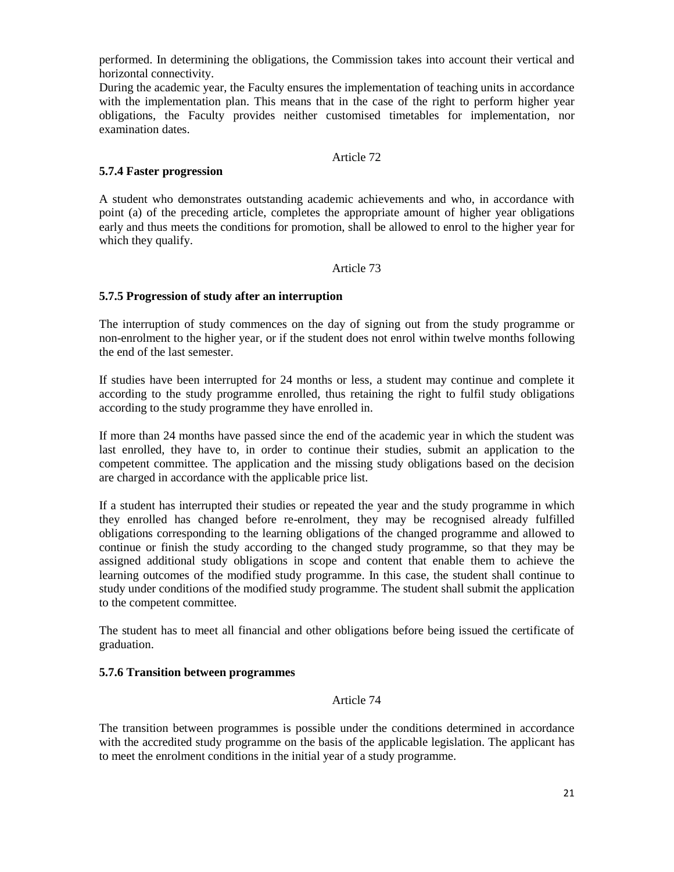performed. In determining the obligations, the Commission takes into account their vertical and horizontal connectivity.

During the academic year, the Faculty ensures the implementation of teaching units in accordance with the implementation plan. This means that in the case of the right to perform higher year obligations, the Faculty provides neither customised timetables for implementation, nor examination dates.

### Article 72

### <span id="page-20-0"></span>**5.7.4 Faster progression**

A student who demonstrates outstanding academic achievements and who, in accordance with point (a) of the preceding article, completes the appropriate amount of higher year obligations early and thus meets the conditions for promotion, shall be allowed to enrol to the higher year for which they qualify.

### Article 73

## <span id="page-20-1"></span>**5.7.5 Progression of study after an interruption**

The interruption of study commences on the day of signing out from the study programme or non-enrolment to the higher year, or if the student does not enrol within twelve months following the end of the last semester.

If studies have been interrupted for 24 months or less, a student may continue and complete it according to the study programme enrolled, thus retaining the right to fulfil study obligations according to the study programme they have enrolled in.

If more than 24 months have passed since the end of the academic year in which the student was last enrolled, they have to, in order to continue their studies, submit an application to the competent committee. The application and the missing study obligations based on the decision are charged in accordance with the applicable price list.

If a student has interrupted their studies or repeated the year and the study programme in which they enrolled has changed before re-enrolment, they may be recognised already fulfilled obligations corresponding to the learning obligations of the changed programme and allowed to continue or finish the study according to the changed study programme, so that they may be assigned additional study obligations in scope and content that enable them to achieve the learning outcomes of the modified study programme. In this case, the student shall continue to study under conditions of the modified study programme. The student shall submit the application to the competent committee.

The student has to meet all financial and other obligations before being issued the certificate of graduation.

### <span id="page-20-2"></span>**5.7.6 Transition between programmes**

#### Article 74

The transition between programmes is possible under the conditions determined in accordance with the accredited study programme on the basis of the applicable legislation. The applicant has to meet the enrolment conditions in the initial year of a study programme.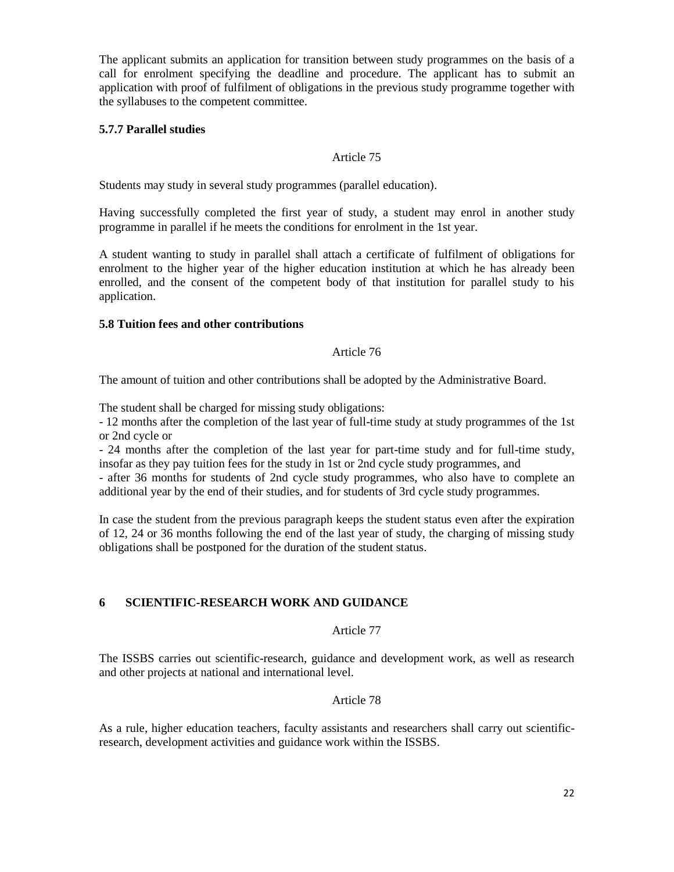The applicant submits an application for transition between study programmes on the basis of a call for enrolment specifying the deadline and procedure. The applicant has to submit an application with proof of fulfilment of obligations in the previous study programme together with the syllabuses to the competent committee.

# <span id="page-21-0"></span>**5.7.7 Parallel studies**

# Article 75

Students may study in several study programmes (parallel education).

Having successfully completed the first year of study, a student may enrol in another study programme in parallel if he meets the conditions for enrolment in the 1st year.

A student wanting to study in parallel shall attach a certificate of fulfilment of obligations for enrolment to the higher year of the higher education institution at which he has already been enrolled, and the consent of the competent body of that institution for parallel study to his application.

## <span id="page-21-1"></span>**5.8 Tuition fees and other contributions**

# Article 76

The amount of tuition and other contributions shall be adopted by the Administrative Board.

The student shall be charged for missing study obligations:

- 12 months after the completion of the last year of full-time study at study programmes of the 1st or 2nd cycle or

- 24 months after the completion of the last year for part-time study and for full-time study, insofar as they pay tuition fees for the study in 1st or 2nd cycle study programmes, and

- after 36 months for students of 2nd cycle study programmes, who also have to complete an additional year by the end of their studies, and for students of 3rd cycle study programmes.

In case the student from the previous paragraph keeps the student status even after the expiration of 12, 24 or 36 months following the end of the last year of study, the charging of missing study obligations shall be postponed for the duration of the student status.

# <span id="page-21-2"></span>**6 SCIENTIFIC-RESEARCH WORK AND GUIDANCE**

## Article 77

The ISSBS carries out scientific-research, guidance and development work, as well as research and other projects at national and international level.

# Article 78

As a rule, higher education teachers, faculty assistants and researchers shall carry out scientificresearch, development activities and guidance work within the ISSBS.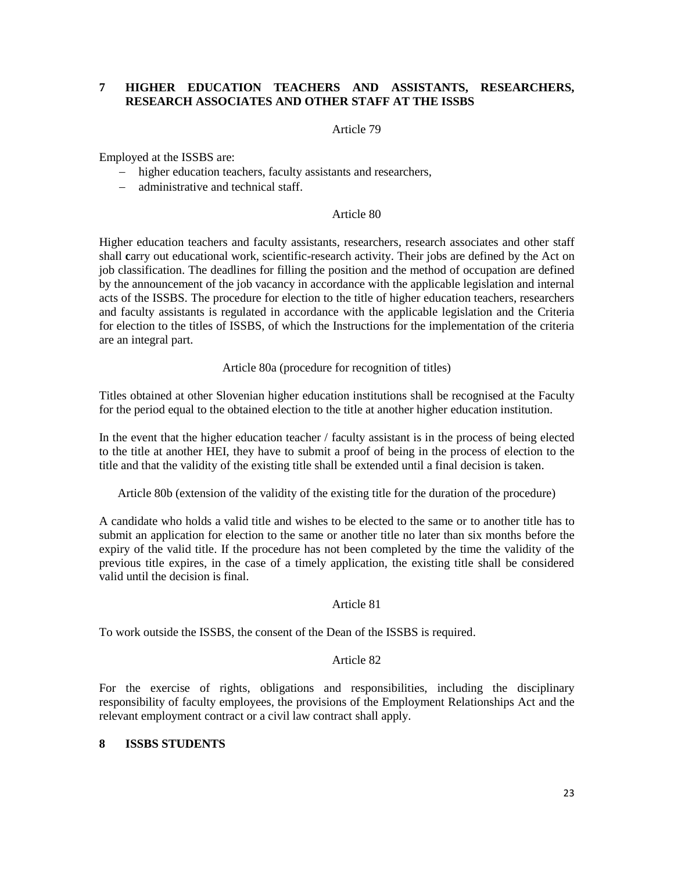# <span id="page-22-0"></span>**7 HIGHER EDUCATION TEACHERS AND ASSISTANTS, RESEARCHERS, RESEARCH ASSOCIATES AND OTHER STAFF AT THE ISSBS**

### Article 79

Employed at the ISSBS are:

- − higher education teachers, faculty assistants and researchers,
- − administrative and technical staff.

#### Article 80

Higher education teachers and faculty assistants, researchers, research associates and other staff shall **c**arry out educational work, scientific-research activity. Their jobs are defined by the Act on job classification. The deadlines for filling the position and the method of occupation are defined by the announcement of the job vacancy in accordance with the applicable legislation and internal acts of the ISSBS. The procedure for election to the title of higher education teachers, researchers and faculty assistants is regulated in accordance with the applicable legislation and the Criteria for election to the titles of ISSBS, of which the Instructions for the implementation of the criteria are an integral part.

Article 80a (procedure for recognition of titles)

Titles obtained at other Slovenian higher education institutions shall be recognised at the Faculty for the period equal to the obtained election to the title at another higher education institution.

In the event that the higher education teacher / faculty assistant is in the process of being elected to the title at another HEI, they have to submit a proof of being in the process of election to the title and that the validity of the existing title shall be extended until a final decision is taken.

Article 80b (extension of the validity of the existing title for the duration of the procedure)

A candidate who holds a valid title and wishes to be elected to the same or to another title has to submit an application for election to the same or another title no later than six months before the expiry of the valid title. If the procedure has not been completed by the time the validity of the previous title expires, in the case of a timely application, the existing title shall be considered valid until the decision is final.

#### Article 81

To work outside the ISSBS, the consent of the Dean of the ISSBS is required.

## Article 82

For the exercise of rights, obligations and responsibilities, including the disciplinary responsibility of faculty employees, the provisions of the Employment Relationships Act and the relevant employment contract or a civil law contract shall apply.

## <span id="page-22-1"></span>**8 ISSBS STUDENTS**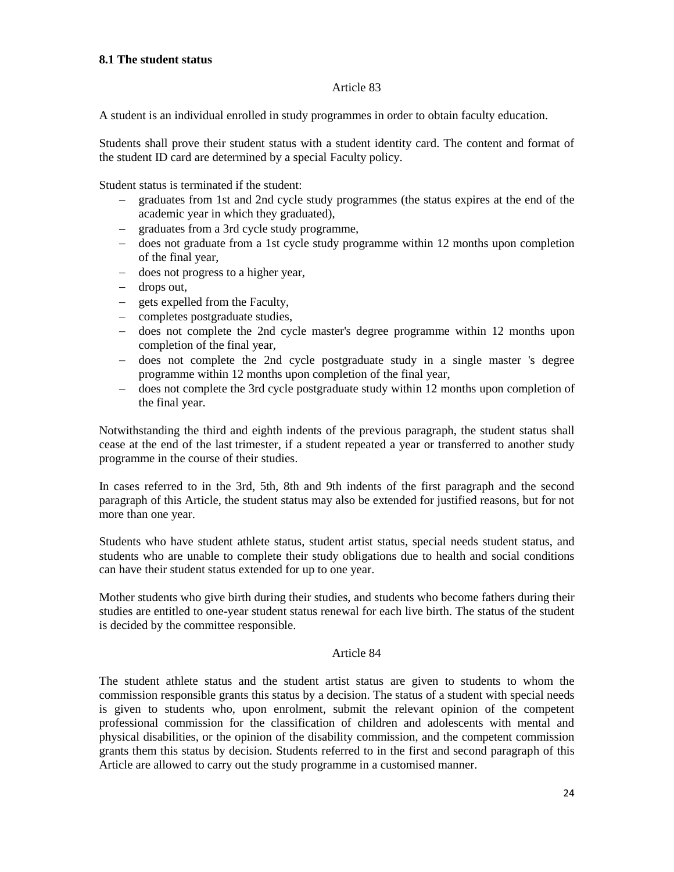### <span id="page-23-0"></span>**8.1 The student status**

## Article 83

A student is an individual enrolled in study programmes in order to obtain faculty education.

Students shall prove their student status with a student identity card. The content and format of the student ID card are determined by a special Faculty policy.

Student status is terminated if the student:

- − graduates from 1st and 2nd cycle study programmes (the status expires at the end of the academic year in which they graduated),
- − graduates from a 3rd cycle study programme,
- − does not graduate from a 1st cycle study programme within 12 months upon completion of the final year,
- − does not progress to a higher year,
- − drops out,
- − gets expelled from the Faculty,
- − completes postgraduate studies,
- − does not complete the 2nd cycle master's degree programme within 12 months upon completion of the final year,
- − does not complete the 2nd cycle postgraduate study in a single master 's degree programme within 12 months upon completion of the final year,
- − does not complete the 3rd cycle postgraduate study within 12 months upon completion of the final year.

Notwithstanding the third and eighth indents of the previous paragraph, the student status shall cease at the end of the last trimester, if a student repeated a year or transferred to another study programme in the course of their studies.

In cases referred to in the 3rd, 5th, 8th and 9th indents of the first paragraph and the second paragraph of this Article, the student status may also be extended for justified reasons, but for not more than one year.

Students who have student athlete status, student artist status, special needs student status, and students who are unable to complete their study obligations due to health and social conditions can have their student status extended for up to one year.

Mother students who give birth during their studies, and students who become fathers during their studies are entitled to one-year student status renewal for each live birth. The status of the student is decided by the committee responsible.

# Article 84

The student athlete status and the student artist status are given to students to whom the commission responsible grants this status by a decision. The status of a student with special needs is given to students who, upon enrolment, submit the relevant opinion of the competent professional commission for the classification of children and adolescents with mental and physical disabilities, or the opinion of the disability commission, and the competent commission grants them this status by decision. Students referred to in the first and second paragraph of this Article are allowed to carry out the study programme in a customised manner.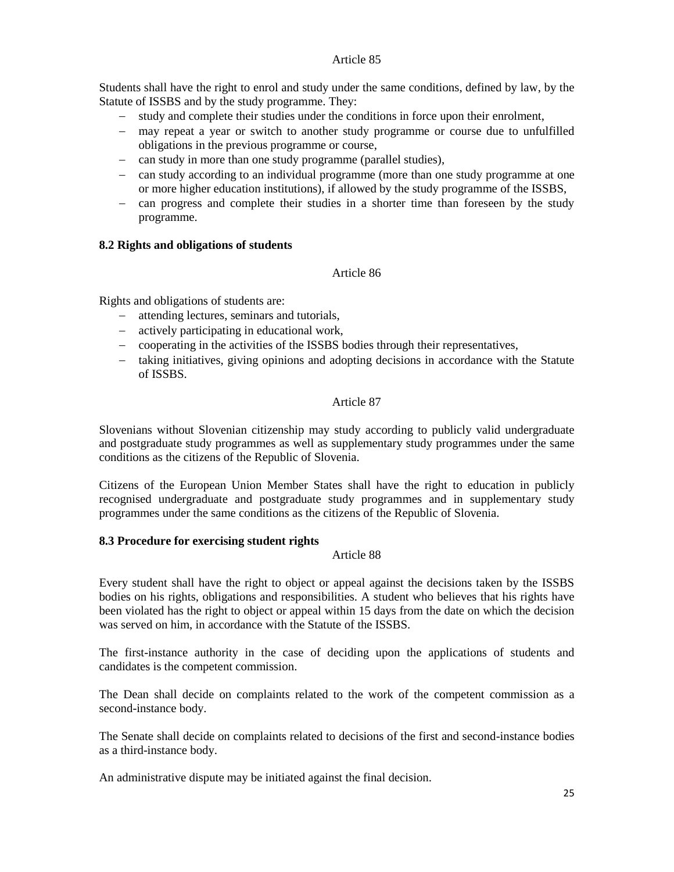Students shall have the right to enrol and study under the same conditions, defined by law, by the Statute of ISSBS and by the study programme. They:

- − study and complete their studies under the conditions in force upon their enrolment,
- − may repeat a year or switch to another study programme or course due to unfulfilled obligations in the previous programme or course,
- − can study in more than one study programme (parallel studies),
- − can study according to an individual programme (more than one study programme at one or more higher education institutions), if allowed by the study programme of the ISSBS,
- − can progress and complete their studies in a shorter time than foreseen by the study programme.

# <span id="page-24-0"></span>**8.2 Rights and obligations of students**

# Article 86

Rights and obligations of students are:

- − attending lectures, seminars and tutorials,
- − actively participating in educational work,
- − cooperating in the activities of the ISSBS bodies through their representatives,
- − taking initiatives, giving opinions and adopting decisions in accordance with the Statute of ISSBS.

### Article 87

Slovenians without Slovenian citizenship may study according to publicly valid undergraduate and postgraduate study programmes as well as supplementary study programmes under the same conditions as the citizens of the Republic of Slovenia.

Citizens of the European Union Member States shall have the right to education in publicly recognised undergraduate and postgraduate study programmes and in supplementary study programmes under the same conditions as the citizens of the Republic of Slovenia.

## <span id="page-24-1"></span>**8.3 Procedure for exercising student rights**

## Article 88

Every student shall have the right to object or appeal against the decisions taken by the ISSBS bodies on his rights, obligations and responsibilities. A student who believes that his rights have been violated has the right to object or appeal within 15 days from the date on which the decision was served on him, in accordance with the Statute of the ISSBS.

The first-instance authority in the case of deciding upon the applications of students and candidates is the competent commission.

The Dean shall decide on complaints related to the work of the competent commission as a second-instance body.

The Senate shall decide on complaints related to decisions of the first and second-instance bodies as a third-instance body.

An administrative dispute may be initiated against the final decision.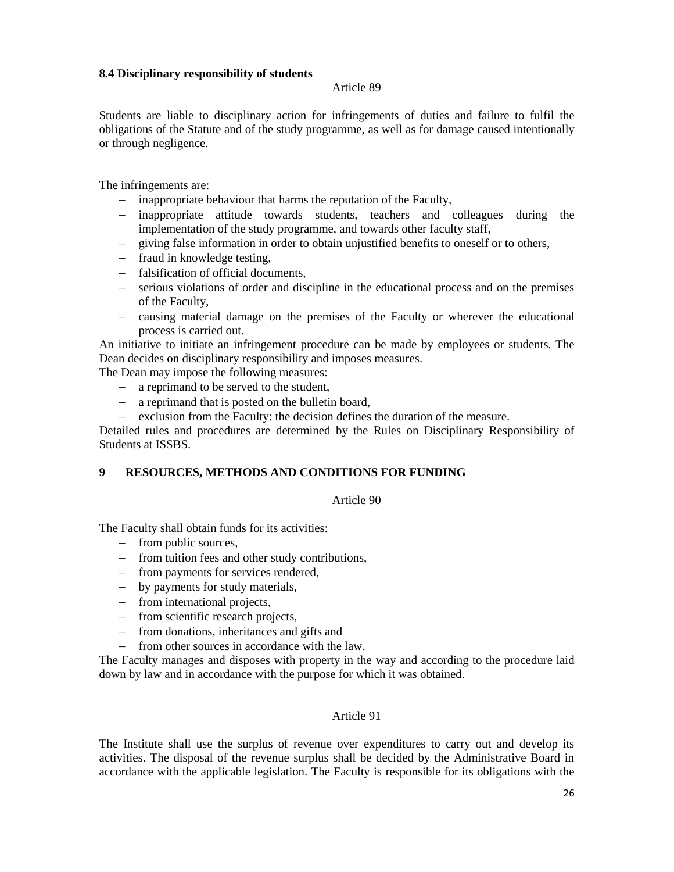## <span id="page-25-0"></span>**8.4 Disciplinary responsibility of students**

#### Article 89

Students are liable to disciplinary action for infringements of duties and failure to fulfil the obligations of the Statute and of the study programme, as well as for damage caused intentionally or through negligence.

The infringements are:

- − inappropriate behaviour that harms the reputation of the Faculty,
- − inappropriate attitude towards students, teachers and colleagues during the implementation of the study programme, and towards other faculty staff,
- − giving false information in order to obtain unjustified benefits to oneself or to others,
- − fraud in knowledge testing,
- − falsification of official documents,
- − serious violations of order and discipline in the educational process and on the premises of the Faculty,
- − causing material damage on the premises of the Faculty or wherever the educational process is carried out.

An initiative to initiate an infringement procedure can be made by employees or students. The Dean decides on disciplinary responsibility and imposes measures.

The Dean may impose the following measures:

- − a reprimand to be served to the student,
- − a reprimand that is posted on the bulletin board,
- − exclusion from the Faculty: the decision defines the duration of the measure.

Detailed rules and procedures are determined by the Rules on Disciplinary Responsibility of Students at ISSBS.

## <span id="page-25-1"></span>**9 RESOURCES, METHODS AND CONDITIONS FOR FUNDING**

#### Article 90

The Faculty shall obtain funds for its activities:

- − from public sources,
- − from tuition fees and other study contributions,
- − from payments for services rendered,
- − by payments for study materials,
- − from international projects,
- − from scientific research projects,
- − from donations, inheritances and gifts and
- − from other sources in accordance with the law.

The Faculty manages and disposes with property in the way and according to the procedure laid down by law and in accordance with the purpose for which it was obtained.

### Article 91

The Institute shall use the surplus of revenue over expenditures to carry out and develop its activities. The disposal of the revenue surplus shall be decided by the Administrative Board in accordance with the applicable legislation. The Faculty is responsible for its obligations with the